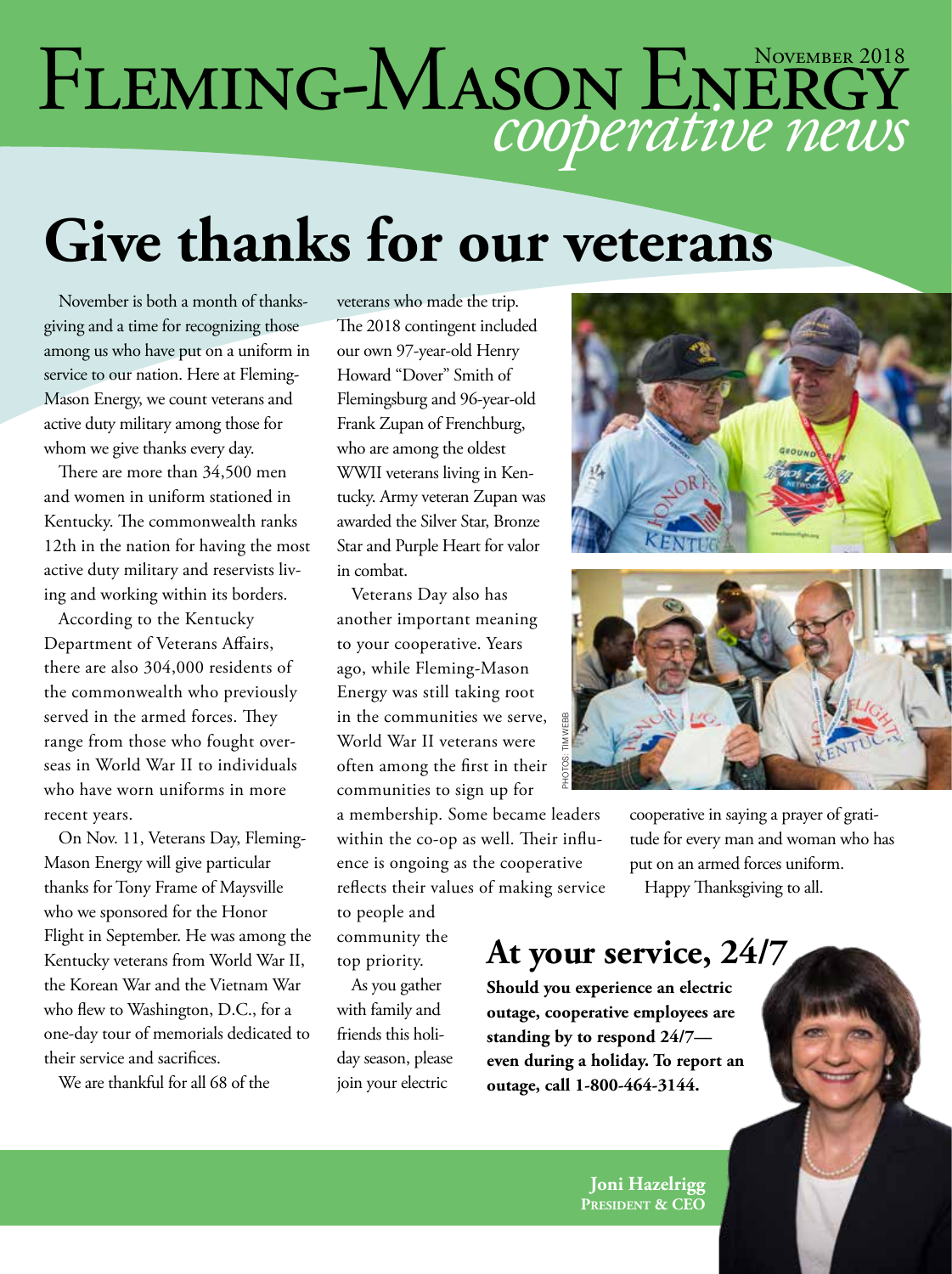# FLEMING-MASON ENERGY

## **Give thanks for our veterans**

November is both a month of thanksgiving and a time for recognizing those among us who have put on a uniform in service to our nation. Here at Fleming-Mason Energy, we count veterans and active duty military among those for whom we give thanks every day.

There are more than 34,500 men and women in uniform stationed in Kentucky. The commonwealth ranks 12th in the nation for having the most active duty military and reservists living and working within its borders.

According to the Kentucky Department of Veterans Affairs, there are also 304,000 residents of the commonwealth who previously served in the armed forces. They range from those who fought overseas in World War II to individuals who have worn uniforms in more recent years.

On Nov. 11, Veterans Day, Fleming-Mason Energy will give particular thanks for Tony Frame of Maysville who we sponsored for the Honor Flight in September. He was among the Kentucky veterans from World War II, the Korean War and the Vietnam War who flew to Washington, D.C., for a one-day tour of memorials dedicated to their service and sacrifices.

We are thankful for all 68 of the

veterans who made the trip. The 2018 contingent included our own 97-year-old Henry Howard "Dover" Smith of Flemingsburg and 96-year-old Frank Zupan of Frenchburg, who are among the oldest WWII veterans living in Kentucky. Army veteran Zupan was awarded the Silver Star, Bronze Star and Purple Heart for valor in combat.

Veterans Day also has another important meaning to your cooperative. Years ago, while Fleming-Mason Energy was still taking root in the communities we serve, World War II veterans were often among the first in their communities to sign up for

a membership. Some became leaders within the co-op as well. Their influence is ongoing as the cooperative reflects their values of making service

to people and community the top priority.

As you gather with family and friends this holiday season, please join your electric





cooperative in saying a prayer of gratitude for every man and woman who has put on an armed forces uniform. Happy Thanksgiving to all.

#### **At your service, 24/7**

**Should you experience an electric outage, cooperative employees are standing by to respond 24/7 even during a holiday. To report an**  Example the serve, and their their their their the cooperative<br>
well. Their influ-<br>
the cooperative the cooperative of making service Happy<br>
f making service Happy<br> **At your service standing by the service standing by the** 

> **Joni Hazelrigg President & CEO**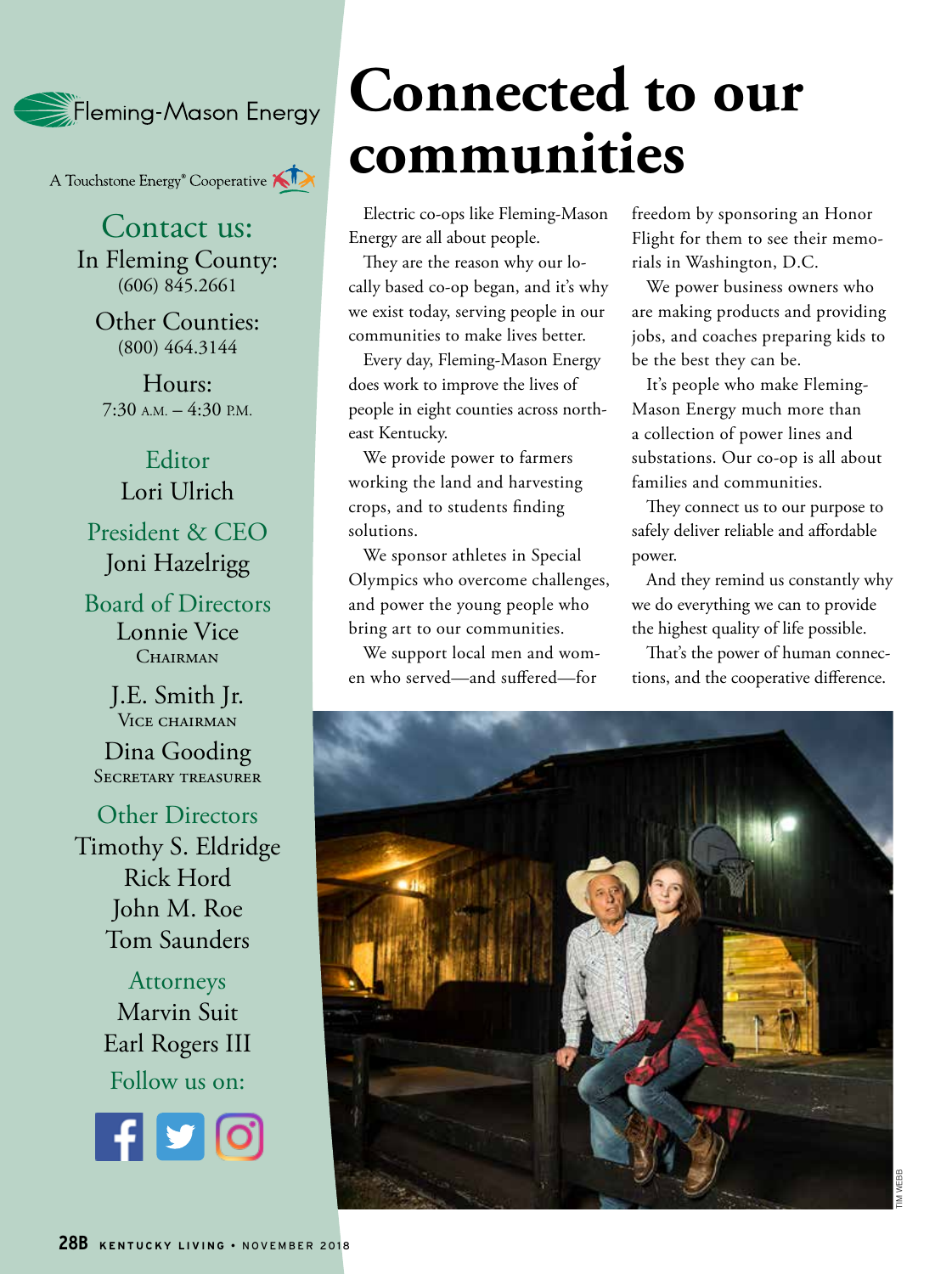Fleming-Mason Energy

A Touchstone Energy<sup>®</sup> Cooperative

Contact us: In Fleming County: (606) 845.2661

Other Counties: (800) 464.3144

Hours:  $7:30$  A.M.  $-4:30$  P.M.

Editor Lori Ulrich President & CEO Joni Hazelrigg

Board of Directors Lonnie Vice CHAIRMAN

> J.E. Smith Jr. VICE CHAIRMAN

Dina Gooding SECRETARY TREASURER

Other Directors Timothy S. Eldridge Rick Hord John M. Roe Tom Saunders

> Attorneys Marvin Suit Earl Rogers III Follow us on:



#### **Connected to our communities**

Electric co-ops like Fleming-Mason Energy are all about people.

They are the reason why our locally based co-op began, and it's why we exist today, serving people in our communities to make lives better.

Every day, Fleming-Mason Energy does work to improve the lives of people in eight counties across northeast Kentucky.

We provide power to farmers working the land and harvesting crops, and to students finding solutions.

We sponsor athletes in Special Olympics who overcome challenges, and power the young people who bring art to our communities.

We support local men and women who served—and suffered—for

freedom by sponsoring an Honor Flight for them to see their memorials in Washington, D.C.

We power business owners who are making products and providing jobs, and coaches preparing kids to be the best they can be.

It's people who make Fleming-Mason Energy much more than a collection of power lines and substations. Our co-op is all about families and communities.

They connect us to our purpose to safely deliver reliable and affordable power.

And they remind us constantly why we do everything we can to provide the highest quality of life possible.

That's the power of human connections, and the cooperative difference.

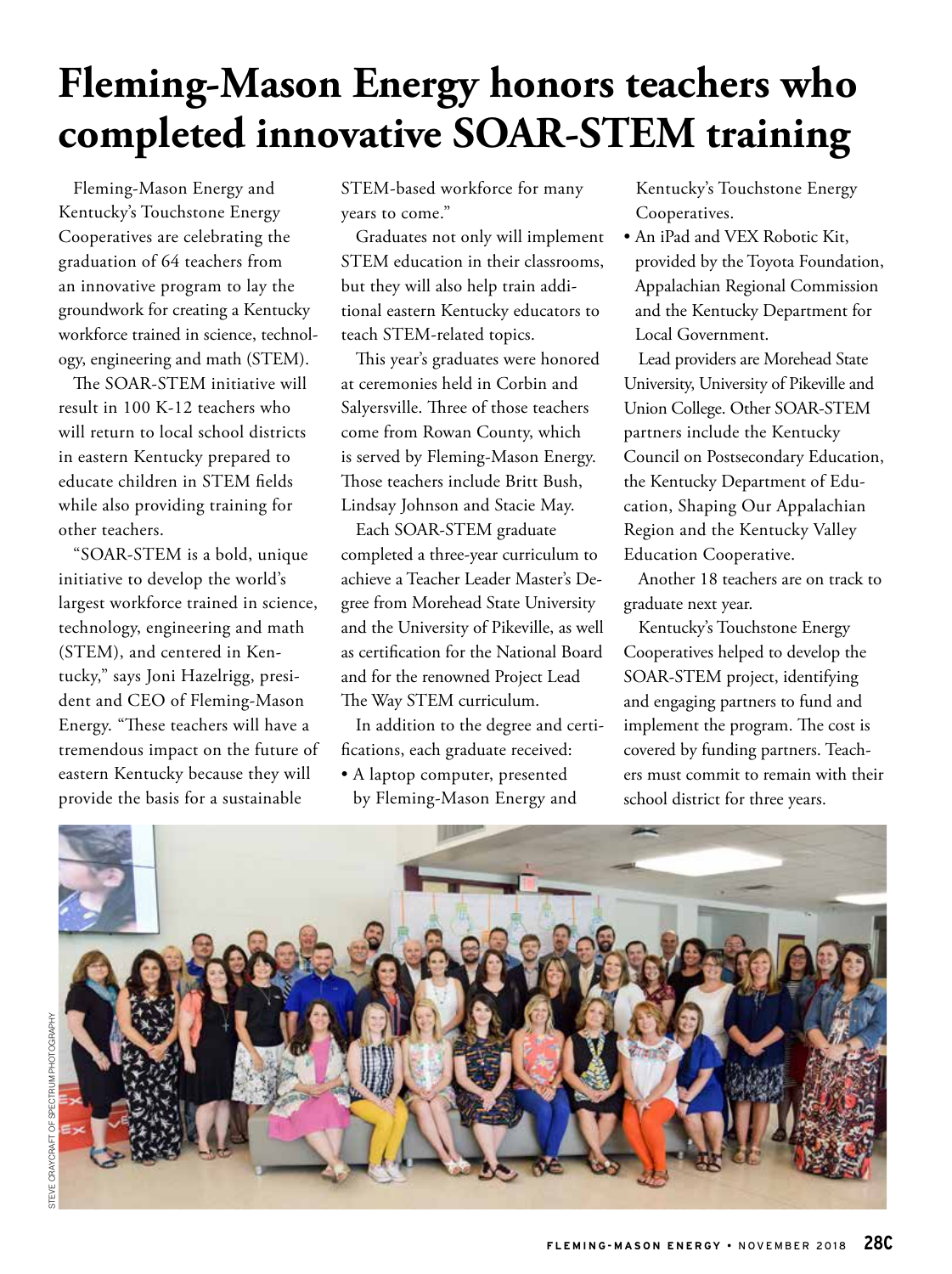#### **Fleming-Mason Energy honors teachers who completed innovative SOAR-STEM training**

Fleming-Mason Energy and Kentucky's Touchstone Energy Cooperatives are celebrating the graduation of 64 teachers from an innovative program to lay the groundwork for creating a Kentucky workforce trained in science, technology, engineering and math (STEM).

The SOAR-STEM initiative will result in 100 K-12 teachers who will return to local school districts in eastern Kentucky prepared to educate children in STEM fields while also providing training for other teachers.

"SOAR-STEM is a bold, unique initiative to develop the world's largest workforce trained in science, technology, engineering and math (STEM), and centered in Kentucky," says Joni Hazelrigg, president and CEO of Fleming-Mason Energy. "These teachers will have a tremendous impact on the future of eastern Kentucky because they will provide the basis for a sustainable

STEM-based workforce for many years to come."

Graduates not only will implement STEM education in their classrooms, but they will also help train additional eastern Kentucky educators to teach STEM-related topics.

This year's graduates were honored at ceremonies held in Corbin and Salyersville. Three of those teachers come from Rowan County, which is served by Fleming-Mason Energy. Those teachers include Britt Bush, Lindsay Johnson and Stacie May.

Each SOAR-STEM graduate completed a three-year curriculum to achieve a Teacher Leader Master's Degree from Morehead State University and the University of Pikeville, as well as certification for the National Board and for the renowned Project Lead The Way STEM curriculum.

In addition to the degree and certifications, each graduate received:

• A laptop computer, presented by Fleming-Mason Energy and Kentucky's Touchstone Energy Cooperatives.

• An iPad and VEX Robotic Kit, provided by the Toyota Foundation, Appalachian Regional Commission and the Kentucky Department for Local Government.

Lead providers are Morehead State University, University of Pikeville and Union College. Other SOAR-STEM partners include the Kentucky Council on Postsecondary Education, the Kentucky Department of Education, Shaping Our Appalachian Region and the Kentucky Valley Education Cooperative.

Another 18 teachers are on track to graduate next year.

Kentucky's Touchstone Energy Cooperatives helped to develop the SOAR-STEM project, identifying and engaging partners to fund and implement the program. The cost is covered by funding partners. Teachers must commit to remain with their school district for three years.